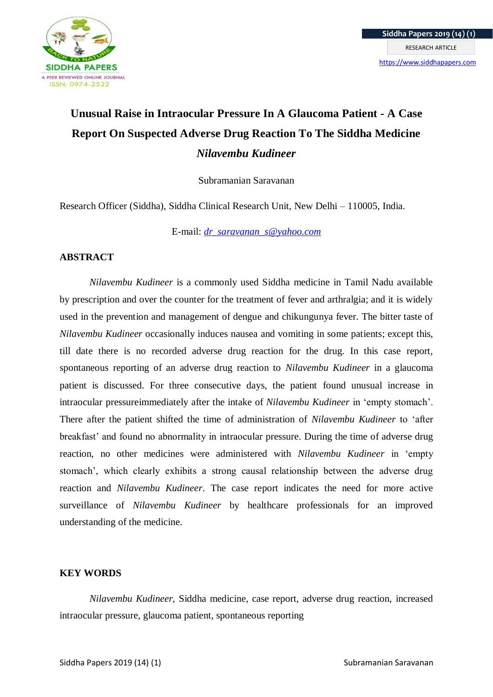

# **Unusual Raise in Intraocular Pressure In A Glaucoma Patient - A Case Report On Suspected Adverse Drug Reaction To The Siddha Medicine**  *Nilavembu Kudineer*

Subramanian Saravanan

Research Officer (Siddha), Siddha Clinical Research Unit, New Delhi – 110005, India.

E-mail: *[dr\\_saravanan\\_s@yahoo.com](mailto:dr_saravanan_s@yahoo.com)*

## **ABSTRACT**

*Nilavembu Kudineer* is a commonly used Siddha medicine in Tamil Nadu available by prescription and over the counter for the treatment of fever and arthralgia; and it is widely used in the prevention and management of dengue and chikungunya fever. The bitter taste of *Nilavembu Kudineer* occasionally induces nausea and vomiting in some patients; except this, till date there is no recorded adverse drug reaction for the drug. In this case report, spontaneous reporting of an adverse drug reaction to *Nilavembu Kudineer* in a glaucoma patient is discussed. For three consecutive days, the patient found unusual increase in intraocular pressureimmediately after the intake of *Nilavembu Kudineer* in 'empty stomach'. There after the patient shifted the time of administration of *Nilavembu Kudineer* to 'after breakfast' and found no abnormality in intraocular pressure. During the time of adverse drug reaction, no other medicines were administered with *Nilavembu Kudineer* in 'empty stomach', which clearly exhibits a strong causal relationship between the adverse drug reaction and *Nilavembu Kudineer*. The case report indicates the need for more active surveillance of *Nilavembu Kudineer* by healthcare professionals for an improved understanding of the medicine.

### **KEY WORDS**

*Nilavembu Kudineer*, Siddha medicine, case report, adverse drug reaction, increased intraocular pressure, glaucoma patient, spontaneous reporting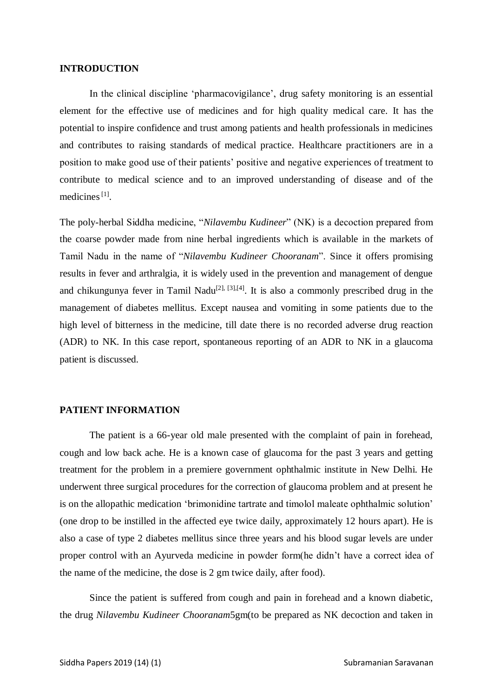### **INTRODUCTION**

In the clinical discipline 'pharmacovigilance', drug safety monitoring is an essential element for the effective use of medicines and for high quality medical care. It has the potential to inspire confidence and trust among patients and health professionals in medicines and contributes to raising standards of medical practice. Healthcare practitioners are in a position to make good use of their patients' positive and negative experiences of treatment to contribute to medical science and to an improved understanding of disease and of the medicines<sup>[1]</sup>.

The poly-herbal Siddha medicine, "*Nilavembu Kudineer*" (NK) is a decoction prepared from the coarse powder made from nine herbal ingredients which is available in the markets of Tamil Nadu in the name of "*Nilavembu Kudineer Chooranam*". Since it offers promising results in fever and arthralgia, it is widely used in the prevention and management of dengue and chikungunya fever in Tamil Nadu<sup>[2], [3],[4]</sup>. It is also a commonly prescribed drug in the management of diabetes mellitus. Except nausea and vomiting in some patients due to the high level of bitterness in the medicine, till date there is no recorded adverse drug reaction (ADR) to NK. In this case report, spontaneous reporting of an ADR to NK in a glaucoma patient is discussed.

#### **PATIENT INFORMATION**

The patient is a 66-year old male presented with the complaint of pain in forehead, cough and low back ache. He is a known case of glaucoma for the past 3 years and getting treatment for the problem in a premiere government ophthalmic institute in New Delhi. He underwent three surgical procedures for the correction of glaucoma problem and at present he is on the allopathic medication 'brimonidine tartrate and timolol maleate ophthalmic solution' (one drop to be instilled in the affected eye twice daily, approximately 12 hours apart). He is also a case of type 2 diabetes mellitus since three years and his blood sugar levels are under proper control with an Ayurveda medicine in powder form(he didn't have a correct idea of the name of the medicine, the dose is 2 gm twice daily, after food).

Since the patient is suffered from cough and pain in forehead and a known diabetic, the drug *Nilavembu Kudineer Chooranam*5gm(to be prepared as NK decoction and taken in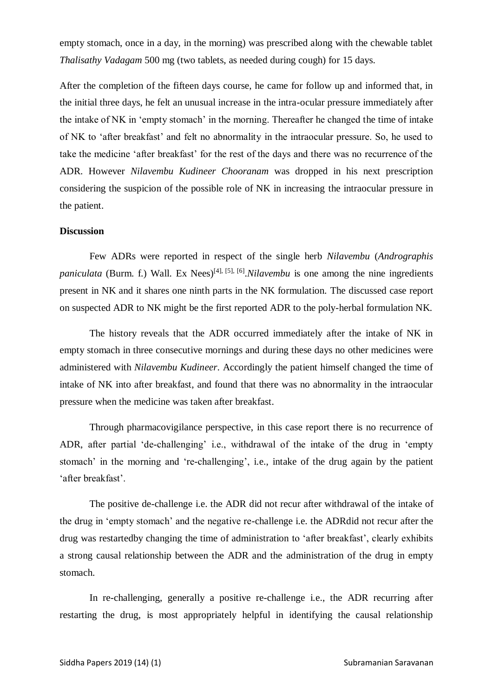empty stomach, once in a day, in the morning) was prescribed along with the chewable tablet *Thalisathy Vadagam* 500 mg (two tablets, as needed during cough) for 15 days.

After the completion of the fifteen days course, he came for follow up and informed that, in the initial three days, he felt an unusual increase in the intra-ocular pressure immediately after the intake of NK in 'empty stomach' in the morning. Thereafter he changed the time of intake of NK to 'after breakfast' and felt no abnormality in the intraocular pressure. So, he used to take the medicine 'after breakfast' for the rest of the days and there was no recurrence of the ADR. However *Nilavembu Kudineer Chooranam* was dropped in his next prescription considering the suspicion of the possible role of NK in increasing the intraocular pressure in the patient.

#### **Discussion**

Few ADRs were reported in respect of the single herb *Nilavembu* (*Andrographis* paniculata (Burm. f.) Wall. Ex Nees)<sup>[4], [5], [6].*Nilavembu* is one among the nine ingredients</sup> present in NK and it shares one ninth parts in the NK formulation. The discussed case report on suspected ADR to NK might be the first reported ADR to the poly-herbal formulation NK.

The history reveals that the ADR occurred immediately after the intake of NK in empty stomach in three consecutive mornings and during these days no other medicines were administered with *Nilavembu Kudineer*. Accordingly the patient himself changed the time of intake of NK into after breakfast, and found that there was no abnormality in the intraocular pressure when the medicine was taken after breakfast.

Through pharmacovigilance perspective, in this case report there is no recurrence of ADR, after partial 'de-challenging' i.e., withdrawal of the intake of the drug in 'empty stomach' in the morning and 're-challenging', i.e., intake of the drug again by the patient 'after breakfast'.

The positive de-challenge i.e. the ADR did not recur after withdrawal of the intake of the drug in 'empty stomach' and the negative re-challenge i.e. the ADRdid not recur after the drug was restartedby changing the time of administration to 'after breakfast', clearly exhibits a strong causal relationship between the ADR and the administration of the drug in empty stomach.

In re-challenging, generally a positive re-challenge i.e., the ADR recurring after restarting the drug, is most appropriately helpful in identifying the causal relationship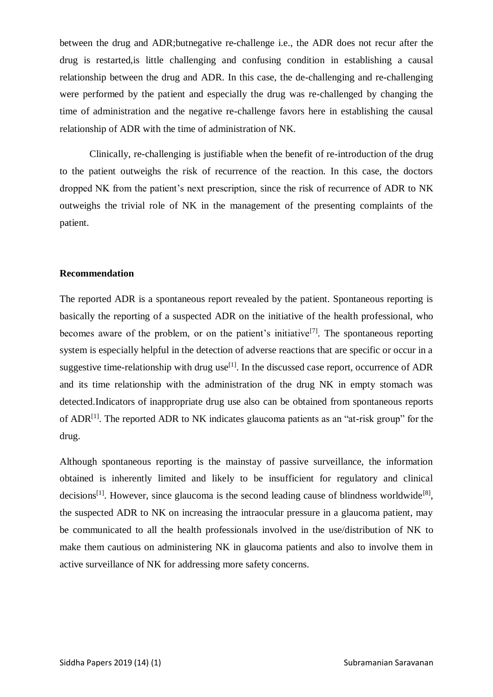between the drug and ADR;butnegative re-challenge i.e., the ADR does not recur after the drug is restarted,is little challenging and confusing condition in establishing a causal relationship between the drug and ADR. In this case, the de-challenging and re-challenging were performed by the patient and especially the drug was re-challenged by changing the time of administration and the negative re-challenge favors here in establishing the causal relationship of ADR with the time of administration of NK.

Clinically, re-challenging is justifiable when the benefit of re-introduction of the drug to the patient outweighs the risk of recurrence of the reaction. In this case, the doctors dropped NK from the patient's next prescription, since the risk of recurrence of ADR to NK outweighs the trivial role of NK in the management of the presenting complaints of the patient.

#### **Recommendation**

The reported ADR is a spontaneous report revealed by the patient. Spontaneous reporting is basically the reporting of a suspected ADR on the initiative of the health professional, who becomes aware of the problem, or on the patient's initiative<sup>[7]</sup>. The spontaneous reporting system is especially helpful in the detection of adverse reactions that are specific or occur in a suggestive time-relationship with drug use<sup>[1]</sup>. In the discussed case report, occurrence of ADR and its time relationship with the administration of the drug NK in empty stomach was detected.Indicators of inappropriate drug use also can be obtained from spontaneous reports of ADR<sup>[1]</sup>. The reported ADR to NK indicates glaucoma patients as an "at-risk group" for the drug.

Although spontaneous reporting is the mainstay of passive surveillance, the information obtained is inherently limited and likely to be insufficient for regulatory and clinical decisions<sup>[1]</sup>. However, since glaucoma is the second leading cause of blindness worldwide<sup>[8]</sup>, the suspected ADR to NK on increasing the intraocular pressure in a glaucoma patient, may be communicated to all the health professionals involved in the use/distribution of NK to make them cautious on administering NK in glaucoma patients and also to involve them in active surveillance of NK for addressing more safety concerns.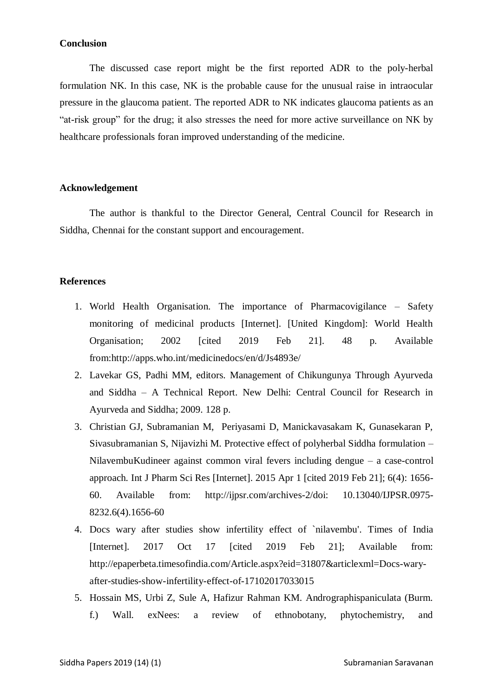#### **Conclusion**

The discussed case report might be the first reported ADR to the poly-herbal formulation NK. In this case, NK is the probable cause for the unusual raise in intraocular pressure in the glaucoma patient. The reported ADR to NK indicates glaucoma patients as an "at-risk group" for the drug; it also stresses the need for more active surveillance on NK by healthcare professionals foran improved understanding of the medicine.

#### **Acknowledgement**

The author is thankful to the Director General, Central Council for Research in Siddha, Chennai for the constant support and encouragement.

#### **References**

- 1. World Health Organisation. The importance of Pharmacovigilance Safety monitoring of medicinal products [Internet]. [United Kingdom]: World Health Organisation; 2002 [cited 2019 Feb 21]. 48 p. Available from:http://apps.who.int/medicinedocs/en/d/Js4893e/
- 2. Lavekar GS, Padhi MM, editors. Management of Chikungunya Through Ayurveda and Siddha – A Technical Report. New Delhi: Central Council for Research in Ayurveda and Siddha; 2009. 128 p.
- 3. Christian GJ, Subramanian M, Periyasami D, Manickavasakam K, Gunasekaran P, Sivasubramanian S, Nijavizhi M. Protective effect of polyherbal Siddha formulation – NilavembuKudineer against common viral fevers including dengue – a case-control approach. Int J Pharm Sci Res [Internet]. 2015 Apr 1 [cited 2019 Feb 21]; 6(4): 1656- 60. Available from: http://ijpsr.com/archives-2/doi: 10.13040/IJPSR.0975- 8232.6(4).1656-60
- 4. Docs wary after studies show infertility effect of `nilavembu'. Times of India [Internet]. 2017 Oct 17 [cited 2019 Feb 21]; Available from: http://epaperbeta.timesofindia.com/Article.aspx?eid=31807&articlexml=Docs-waryafter-studies-show-infertility-effect-of-17102017033015
- 5. Hossain MS, Urbi Z, Sule A, Hafizur Rahman KM. Andrographispaniculata (Burm. f.) Wall. exNees: a review of ethnobotany, phytochemistry, and